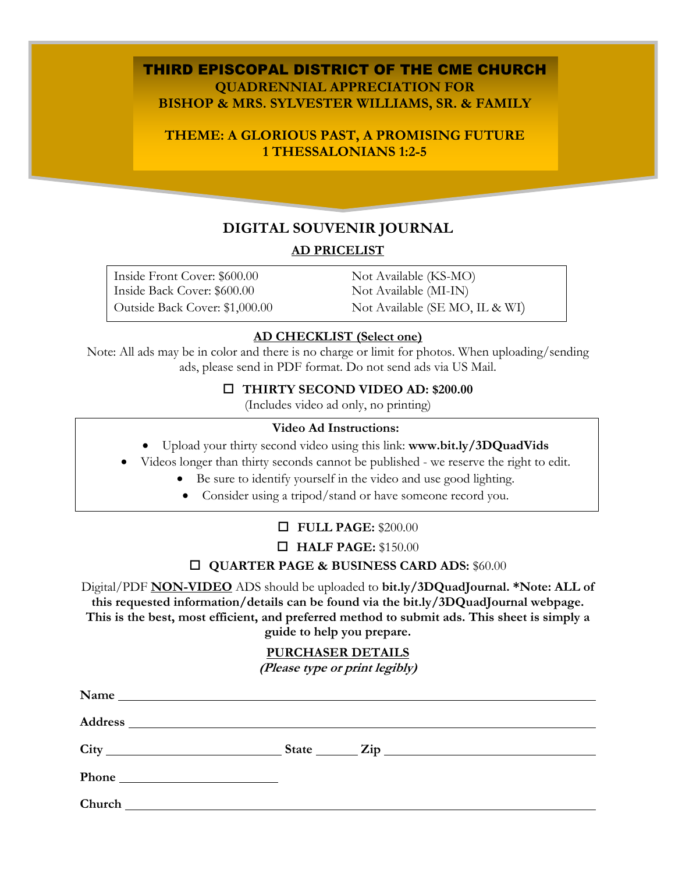## THIRD EPISCOPAL DISTRICT OF THE CME CHURCH **QUADRENNIAL APPRECIATION FOR BISHOP & MRS. SYLVESTER WILLIAMS, SR. & FAMILY**

# **THEME: A GLORIOUS PAST, A PROMISING FUTURE 1 THESSALONIANS 1:2-5**

# **DIGITAL SOUVENIR JOURNAL AD PRICELIST**

Inside Front Cover: \$600.00 Not Available (KS-MO) Inside Back Cover: \$600.00 Not Available (MI-IN)

Outside Back Cover: \$1,000.00 Not Available (SE MO, IL & WI)

## **AD CHECKLIST (Select one)**

Note: All ads may be in color and there is no charge or limit for photos. When uploading/sending ads, please send in PDF format. Do not send ads via US Mail.

#### o **THIRTY SECOND VIDEO AD: \$200.00**

(Includes video ad only, no printing)

#### **Video Ad Instructions:**

- Upload your thirty second video using this link: **www.bit.ly/3DQuadVids**
- Videos longer than thirty seconds cannot be published we reserve the right to edit.
	- Be sure to identify yourself in the video and use good lighting.
	- Consider using a tripod/stand or have someone record you.

# o **FULL PAGE:** \$200.00

## o **HALF PAGE:** \$150.00

## o **QUARTER PAGE & BUSINESS CARD ADS:** \$60.00

Digital/PDF **NON-VIDEO** ADS should be uploaded to **bit.ly/3DQuadJournal. \*Note: ALL of this requested information/details can be found via the bit.ly/3DQuadJournal webpage. This is the best, most efficient, and preferred method to submit ads. This sheet is simply a guide to help you prepare.**

## **PURCHASER DETAILS**

**(Please type or print legibly)**

| Name                                                                                                                                                                                                                                 |  |  |
|--------------------------------------------------------------------------------------------------------------------------------------------------------------------------------------------------------------------------------------|--|--|
|                                                                                                                                                                                                                                      |  |  |
|                                                                                                                                                                                                                                      |  |  |
|                                                                                                                                                                                                                                      |  |  |
| Church <u>the contract of the contract of the contract of the contract of the contract of the contract of the contract of the contract of the contract of the contract of the contract of the contract of the contract of the co</u> |  |  |